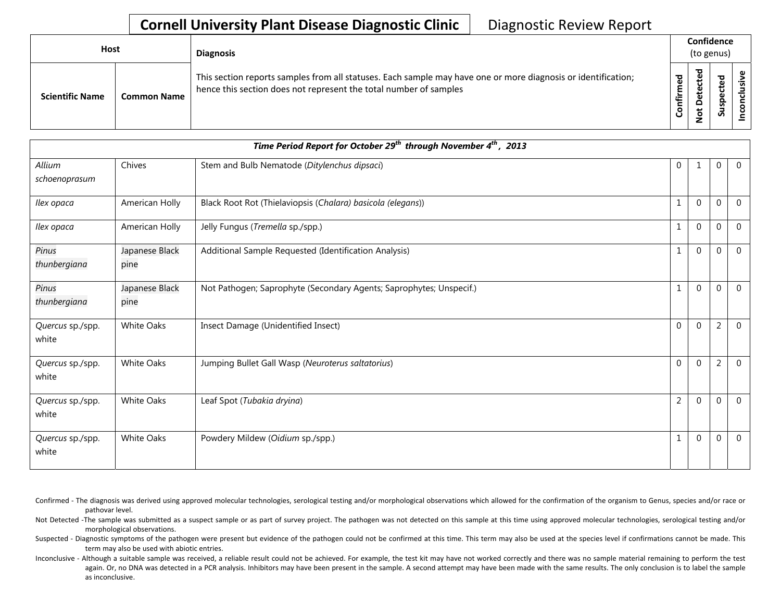## **Cornell University Plant Disease Diagnostic Clinic** | Diagnostic Review Report

| <b>Host</b>            |                    | <b>Diagnosis</b>                                                                                                                                                                   | Confidence<br>(to genus) |                                 |                                 |  |
|------------------------|--------------------|------------------------------------------------------------------------------------------------------------------------------------------------------------------------------------|--------------------------|---------------------------------|---------------------------------|--|
| <b>Scientific Name</b> | <b>Common Name</b> | This section reports samples from all statuses. Each sample may have one or more diagnosis or identification;<br>hence this section does not represent the total number of samples | ි<br>ම<br>Ē<br>Confir    | ᅙ<br>Ë<br>ق<br>Φ<br>۵<br>ى<br>ۅ | ਠ<br>இ<br>τ<br>ω<br>o<br>⊻<br>S |  |

| Time Period Report for October 29 <sup>th</sup> through November 4 <sup>th</sup> , 2013 |                        |                                                                     |                |              |                  |                |  |
|-----------------------------------------------------------------------------------------|------------------------|---------------------------------------------------------------------|----------------|--------------|------------------|----------------|--|
| Allium<br>schoenoprasum                                                                 | Chives                 | Stem and Bulb Nematode (Ditylenchus dipsaci)                        | $\mathbf{0}$   |              | $\mathbf{0}$     | $\overline{0}$ |  |
| Ilex opaca                                                                              | American Holly         | Black Root Rot (Thielaviopsis (Chalara) basicola (elegans))         | 1              | $\mathbf{0}$ | $\mathbf{0}$     | $\Omega$       |  |
| Ilex opaca                                                                              | American Holly         | Jelly Fungus (Tremella sp./spp.)                                    | 1              | $\mathbf{0}$ | $\mathbf 0$      | $\mathbf 0$    |  |
| Pinus<br>thunbergiana                                                                   | Japanese Black<br>pine | Additional Sample Requested (Identification Analysis)               | 1              | $\Omega$     | $\mathbf 0$      | $\mathbf 0$    |  |
| Pinus<br>thunbergiana                                                                   | Japanese Black<br>pine | Not Pathogen; Saprophyte (Secondary Agents; Saprophytes; Unspecif.) | $\mathbf{1}$   | $\mathbf{0}$ | $\boldsymbol{0}$ | $\overline{0}$ |  |
| Quercus sp./spp.<br>white                                                               | <b>White Oaks</b>      | Insect Damage (Unidentified Insect)                                 | $\mathbf{0}$   | $\mathbf{0}$ | $\overline{2}$   | $\mathbf{0}$   |  |
| Quercus sp./spp.<br>white                                                               | <b>White Oaks</b>      | Jumping Bullet Gall Wasp (Neuroterus saltatorius)                   | $\mathbf 0$    | $\mathbf{0}$ | $\overline{2}$   | $\overline{0}$ |  |
| Quercus sp./spp.<br>white                                                               | <b>White Oaks</b>      | Leaf Spot (Tubakia dryina)                                          | $\overline{2}$ | $\mathbf{0}$ | $\mathbf 0$      | $\overline{0}$ |  |
| Quercus sp./spp.<br>white                                                               | <b>White Oaks</b>      | Powdery Mildew (Oidium sp./spp.)                                    |                | $\Omega$     | $\mathbf{0}$     | $\Omega$       |  |

- Confirmed The diagnosis was derived using approved molecular technologies, serological testing and/or morphological observations which allowed for the confirmation of the organism to Genus, species and/or race or pathovar level.
- Not Detected -The sample was submitted as a suspect sample or as part of survey project. The pathogen was not detected on this sample at this time using approved molecular technologies, serological testing and/or morphological observations.
- Suspected Diagnostic symptoms of the pathogen were present but evidence of the pathogen could not be confirmed at this time. This term may also be used at the species level if confirmations cannot be made. This term may also be used with abiotic entries.
- Inconclusive Although a suitable sample was received, a reliable result could not be achieved. For example, the test kit may have not worked correctly and there was no sample material remaining to perform the test again. Or, no DNA was detected in a PCR analysis. Inhibitors may have been present in the sample. A second attempt may have been made with the same results. The only conclusion is to label the sample as inconclusive.